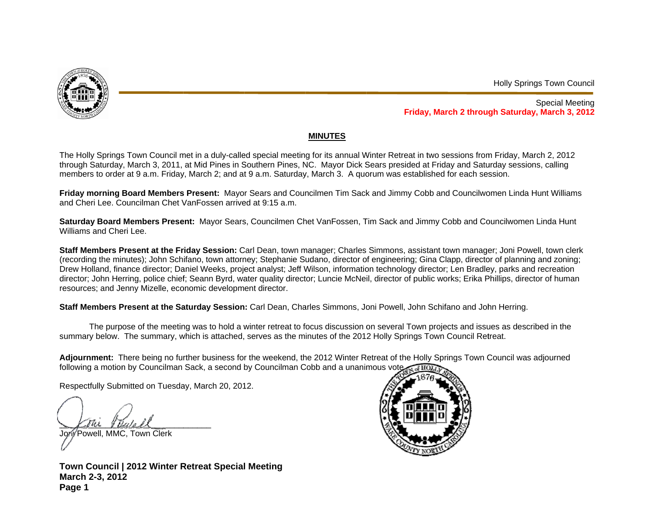

Holly Springs T own Council

## **Friday y, March 2 throug gh Saturday, Ma arch 3, 2012**  Special Meeting

## **MINUTES**

The Holly Springs Town Council met in a duly-called special meeting for its annual Winter Retreat in two sessions from Friday, March 2, 2012 through Saturday, March 3, 2011, at Mid Pines in Southern Pines, NC. Mayor Dick Sears presided at Friday and Saturday sessions, calling members to order at 9 a.m. Friday, March 2; and at 9 a.m. Saturday, March 3. A quorum was established for each session.

**Friday morning Board Members Present:** Mayor Sears and Councilmen Tim Sack and Jimmy Cobb and Councilwomen Linda Hunt Williams and Cheri Lee. Councilman Chet VanFossen arrived at 9:15 a.m.

**Saturday Board Members Present:** Mayor Sears, Councilmen Chet VanFossen, Tim Sack and Jimmy Cobb and Councilwomen Linda Hunt Williams and Cheri Lee.

**Staff Members Present at the Friday Session:** Carl Dean, town manager; Charles Simmons, assistant town manager; Joni Powell, town clerk (recording the minutes); John Schifano, town attorney; Stephanie Sudano, director of engineering; Gina Clapp, director of planning and zoning; Drew Holland, finance director; Daniel Weeks, project analyst; Jeff Wilson, information technology director; Len Bradley, parks and recreation director; John Herring, police chief; Seann Byrd, water quality director; Luncie McNeil, director of public works; Erika Phillips, director of human resources; and Jenny Mizelle, economic development director.

**Staff Members Present at the Saturday Session: Carl Dean, Charles Simmons, Joni Powell, John Schifano and John Herring.** 

summary below. The summary, which is attached, serves as the minutes of the 2012 Holly Springs Town Council Retreat. The purpose of the meeting was to hold a winter retreat to focus discussion on several Town projects and issues as described in the

Adjournment: There being no further business for the weekend, the 2012 Winter Retreat of the Holly Springs Town Council was adjourned following a motion by Councilman Sack, a second by Councilman Cobb and a unanimous vote...

Respectfully Submitted on Tuesday, March 20, 2012.

\_ \_\_\_\_\_\_\_\_\_\_\_\_\_\_ \_\_\_\_\_\_\_\_\_\_\_\_\_\_

Jo⁄ri⁄ Powell, MMC, Town Clerk

**T Town Council | 2012 Winter R Retreat Special l Meeting MMarch 2-3, 201 2 PPage 1** 

\_\_\_\_\_\_\_

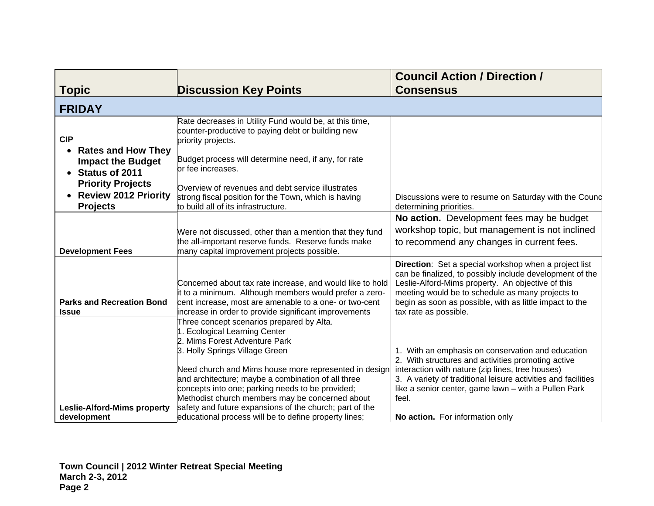|                                                                                                                                                                                         |                                                                                                                                                                                                                                                                                                                                                                         | <b>Council Action / Direction /</b>                                                                                                                                                                                                                                                                            |
|-----------------------------------------------------------------------------------------------------------------------------------------------------------------------------------------|-------------------------------------------------------------------------------------------------------------------------------------------------------------------------------------------------------------------------------------------------------------------------------------------------------------------------------------------------------------------------|----------------------------------------------------------------------------------------------------------------------------------------------------------------------------------------------------------------------------------------------------------------------------------------------------------------|
| <b>Topic</b>                                                                                                                                                                            | <b>Discussion Key Points</b>                                                                                                                                                                                                                                                                                                                                            | <b>Consensus</b>                                                                                                                                                                                                                                                                                               |
| <b>FRIDAY</b>                                                                                                                                                                           |                                                                                                                                                                                                                                                                                                                                                                         |                                                                                                                                                                                                                                                                                                                |
| <b>CIP</b><br><b>Rates and How They</b><br>$\bullet$<br><b>Impact the Budget</b><br><b>Status of 2011</b><br><b>Priority Projects</b><br><b>Review 2012 Priority</b><br><b>Projects</b> | Rate decreases in Utility Fund would be, at this time,<br>counter-productive to paying debt or building new<br>priority projects.<br>Budget process will determine need, if any, for rate<br>or fee increases.<br>Overview of revenues and debt service illustrates<br>strong fiscal position for the Town, which is having<br>to build all of its infrastructure.      | Discussions were to resume on Saturday with the Cound<br>determining priorities.                                                                                                                                                                                                                               |
| <b>Development Fees</b>                                                                                                                                                                 | Were not discussed, other than a mention that they fund<br>the all-important reserve funds. Reserve funds make<br>many capital improvement projects possible.                                                                                                                                                                                                           | No action. Development fees may be budget<br>workshop topic, but management is not inclined<br>to recommend any changes in current fees.                                                                                                                                                                       |
| <b>Parks and Recreation Bond</b><br><b>Issue</b>                                                                                                                                        | Concerned about tax rate increase, and would like to hold<br>it to a minimum. Although members would prefer a zero-<br>cent increase, most are amenable to a one- or two-cent<br>increase in order to provide significant improvements                                                                                                                                  | Direction: Set a special workshop when a project list<br>can be finalized, to possibly include development of the<br>Leslie-Alford-Mims property. An objective of this<br>meeting would be to schedule as many projects to<br>begin as soon as possible, with as little impact to the<br>tax rate as possible. |
|                                                                                                                                                                                         | Three concept scenarios prepared by Alta.<br><b>Ecological Learning Center</b><br>2. Mims Forest Adventure Park<br>3. Holly Springs Village Green<br>Need church and Mims house more represented in design<br>and architecture; maybe a combination of all three<br>concepts into one; parking needs to be provided;<br>Methodist church members may be concerned about | 1. With an emphasis on conservation and education<br>2. With structures and activities promoting active<br>interaction with nature (zip lines, tree houses)<br>3. A variety of traditional leisure activities and facilities<br>like a senior center, game lawn - with a Pullen Park<br>feel.                  |
| <b>Leslie-Alford-Mims property</b><br>development                                                                                                                                       | safety and future expansions of the church; part of the<br>educational process will be to define property lines;                                                                                                                                                                                                                                                        | No action. For information only                                                                                                                                                                                                                                                                                |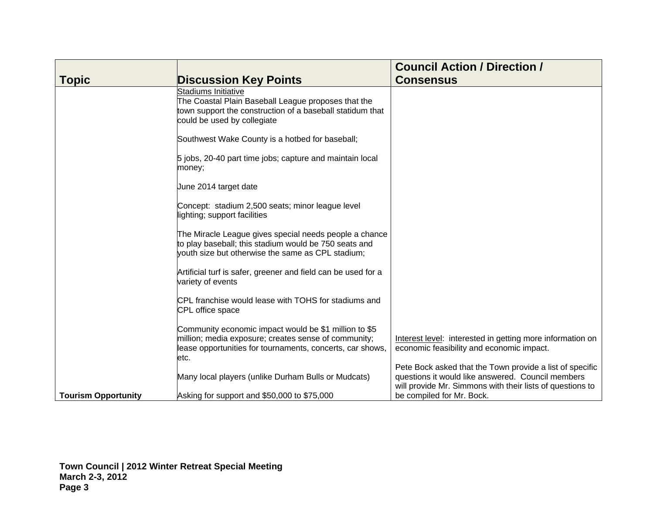|                            |                                                                                                                                                                                     | <b>Council Action / Direction /</b>                                                                                                                                        |
|----------------------------|-------------------------------------------------------------------------------------------------------------------------------------------------------------------------------------|----------------------------------------------------------------------------------------------------------------------------------------------------------------------------|
| <b>Topic</b>               | <b>Discussion Key Points</b>                                                                                                                                                        | <b>Consensus</b>                                                                                                                                                           |
|                            | Stadiums Initiative<br>The Coastal Plain Baseball League proposes that the<br>town support the construction of a baseball statidum that<br>could be used by collegiate              |                                                                                                                                                                            |
|                            | Southwest Wake County is a hotbed for baseball;                                                                                                                                     |                                                                                                                                                                            |
|                            | 5 jobs, 20-40 part time jobs; capture and maintain local<br>money;                                                                                                                  |                                                                                                                                                                            |
|                            | June 2014 target date                                                                                                                                                               |                                                                                                                                                                            |
|                            | Concept: stadium 2,500 seats; minor league level<br>lighting; support facilities                                                                                                    |                                                                                                                                                                            |
|                            | The Miracle League gives special needs people a chance<br>to play baseball; this stadium would be 750 seats and<br>youth size but otherwise the same as CPL stadium;                |                                                                                                                                                                            |
|                            | Artificial turf is safer, greener and field can be used for a<br>variety of events                                                                                                  |                                                                                                                                                                            |
|                            | CPL franchise would lease with TOHS for stadiums and<br>CPL office space                                                                                                            |                                                                                                                                                                            |
|                            | Community economic impact would be \$1 million to \$5<br>million; media exposure; creates sense of community;<br>lease opportunities for tournaments, concerts, car shows,<br>letc. | Interest level: interested in getting more information on<br>economic feasibility and economic impact.                                                                     |
|                            | Many local players (unlike Durham Bulls or Mudcats)                                                                                                                                 | Pete Bock asked that the Town provide a list of specific<br>questions it would like answered. Council members<br>will provide Mr. Simmons with their lists of questions to |
| <b>Tourism Opportunity</b> | Asking for support and \$50,000 to \$75,000                                                                                                                                         | be compiled for Mr. Bock.                                                                                                                                                  |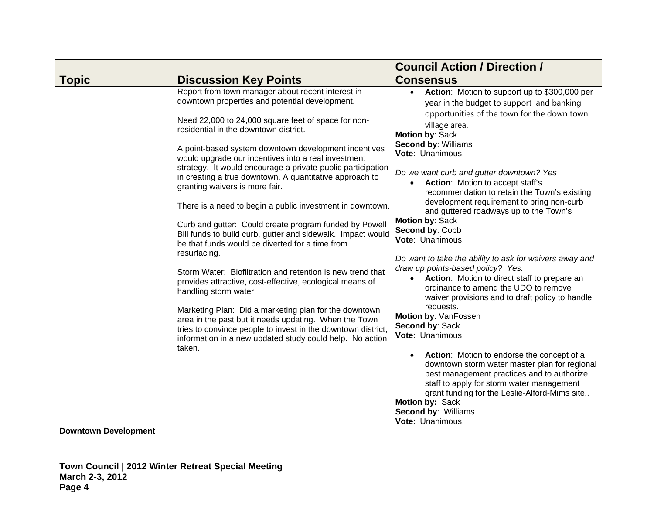|                             |                                                                                                                                                                                                                                                      | <b>Council Action / Direction /</b>                                                                                                                                                                                                                    |
|-----------------------------|------------------------------------------------------------------------------------------------------------------------------------------------------------------------------------------------------------------------------------------------------|--------------------------------------------------------------------------------------------------------------------------------------------------------------------------------------------------------------------------------------------------------|
| <b>Topic</b>                | <b>Discussion Key Points</b>                                                                                                                                                                                                                         | <b>Consensus</b>                                                                                                                                                                                                                                       |
|                             | Report from town manager about recent interest in<br>downtown properties and potential development.                                                                                                                                                  | Action: Motion to support up to \$300,000 per<br>$\bullet$<br>year in the budget to support land banking                                                                                                                                               |
|                             | Need 22,000 to 24,000 square feet of space for non-<br>residential in the downtown district.                                                                                                                                                         | opportunities of the town for the down town<br>village area.<br>Motion by: Sack                                                                                                                                                                        |
|                             | A point-based system downtown development incentives<br>would upgrade our incentives into a real investment<br>strategy. It would encourage a private-public participation                                                                           | <b>Second by: Williams</b><br>Vote: Unanimous.                                                                                                                                                                                                         |
|                             | in creating a true downtown. A quantitative approach to<br>granting waivers is more fair.                                                                                                                                                            | Do we want curb and gutter downtown? Yes<br>Action: Motion to accept staff's<br>$\bullet$<br>recommendation to retain the Town's existing                                                                                                              |
|                             | There is a need to begin a public investment in downtown.                                                                                                                                                                                            | development requirement to bring non-curb<br>and guttered roadways up to the Town's                                                                                                                                                                    |
|                             | Curb and gutter: Could create program funded by Powell<br>Bill funds to build curb, gutter and sidewalk. Impact would<br>be that funds would be diverted for a time from                                                                             | <b>Motion by: Sack</b><br>Second by: Cobb<br>Vote: Unanimous.                                                                                                                                                                                          |
|                             | resurfacing.<br>Storm Water: Biofiltration and retention is new trend that<br>provides attractive, cost-effective, ecological means of<br>handling storm water                                                                                       | Do want to take the ability to ask for waivers away and<br>draw up points-based policy? Yes.<br>Action: Motion to direct staff to prepare an<br>$\bullet$<br>ordinance to amend the UDO to remove<br>waiver provisions and to draft policy to handle   |
|                             | Marketing Plan: Did a marketing plan for the downtown<br>area in the past but it needs updating. When the Town<br>tries to convince people to invest in the downtown district,<br>information in a new updated study could help. No action<br>taken. | requests.<br>Motion by: VanFossen<br>Second by: Sack<br>Vote: Unanimous                                                                                                                                                                                |
|                             |                                                                                                                                                                                                                                                      | Action: Motion to endorse the concept of a<br>$\bullet$<br>downtown storm water master plan for regional<br>best management practices and to authorize<br>staff to apply for storm water management<br>grant funding for the Leslie-Alford-Mims site,. |
| <b>Downtown Development</b> |                                                                                                                                                                                                                                                      | Motion by: Sack<br><b>Second by: Williams</b><br>Vote: Unanimous.                                                                                                                                                                                      |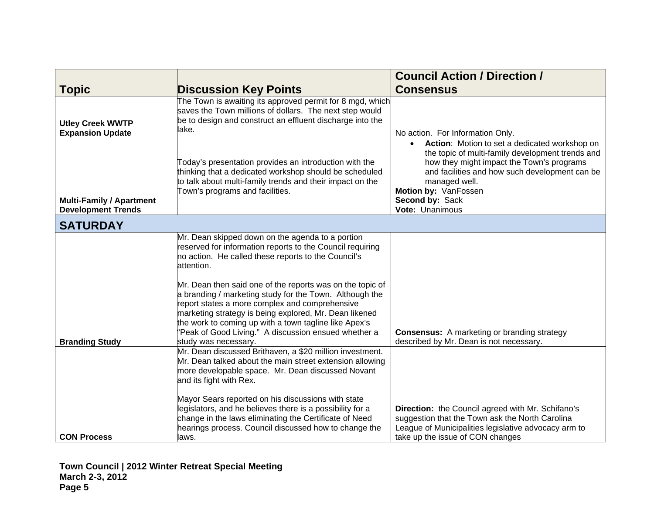|                                                              |                                                                                                                                                                                                                                                                                                                                                                           | <b>Council Action / Direction /</b>                                                                                                                                                                                                                                             |
|--------------------------------------------------------------|---------------------------------------------------------------------------------------------------------------------------------------------------------------------------------------------------------------------------------------------------------------------------------------------------------------------------------------------------------------------------|---------------------------------------------------------------------------------------------------------------------------------------------------------------------------------------------------------------------------------------------------------------------------------|
| <b>Topic</b>                                                 | <b>Discussion Key Points</b>                                                                                                                                                                                                                                                                                                                                              | <b>Consensus</b>                                                                                                                                                                                                                                                                |
| <b>Utley Creek WWTP</b><br><b>Expansion Update</b>           | The Town is awaiting its approved permit for 8 mgd, which<br>saves the Town millions of dollars. The next step would<br>be to design and construct an effluent discharge into the<br>lake.                                                                                                                                                                                | No action. For Information Only.                                                                                                                                                                                                                                                |
| <b>Multi-Family / Apartment</b><br><b>Development Trends</b> | Today's presentation provides an introduction with the<br>thinking that a dedicated workshop should be scheduled<br>to talk about multi-family trends and their impact on the<br>Town's programs and facilities.                                                                                                                                                          | Action: Motion to set a dedicated workshop on<br>the topic of multi-family development trends and<br>how they might impact the Town's programs<br>and facilities and how such development can be<br>managed well.<br>Motion by: VanFossen<br>Second by: Sack<br>Vote: Unanimous |
| <b>SATURDAY</b>                                              |                                                                                                                                                                                                                                                                                                                                                                           |                                                                                                                                                                                                                                                                                 |
|                                                              | Mr. Dean skipped down on the agenda to a portion<br>reserved for information reports to the Council requiring<br>no action. He called these reports to the Council's<br>attention.                                                                                                                                                                                        |                                                                                                                                                                                                                                                                                 |
| <b>Branding Study</b>                                        | Mr. Dean then said one of the reports was on the topic of<br>a branding / marketing study for the Town. Although the<br>report states a more complex and comprehensive<br>marketing strategy is being explored, Mr. Dean likened<br>the work to coming up with a town tagline like Apex's<br>'Peak of Good Living." A discussion ensued whether a<br>study was necessary. | <b>Consensus:</b> A marketing or branding strategy<br>described by Mr. Dean is not necessary.                                                                                                                                                                                   |
|                                                              | Mr. Dean discussed Brithaven, a \$20 million investment.<br>Mr. Dean talked about the main street extension allowing<br>more developable space. Mr. Dean discussed Novant<br>and its fight with Rex.                                                                                                                                                                      |                                                                                                                                                                                                                                                                                 |
| <b>CON Process</b>                                           | Mayor Sears reported on his discussions with state<br>legislators, and he believes there is a possibility for a<br>change in the laws eliminating the Certificate of Need<br>hearings process. Council discussed how to change the<br>laws.                                                                                                                               | Direction: the Council agreed with Mr. Schifano's<br>suggestion that the Town ask the North Carolina<br>League of Municipalities legislative advocacy arm to<br>take up the issue of CON changes                                                                                |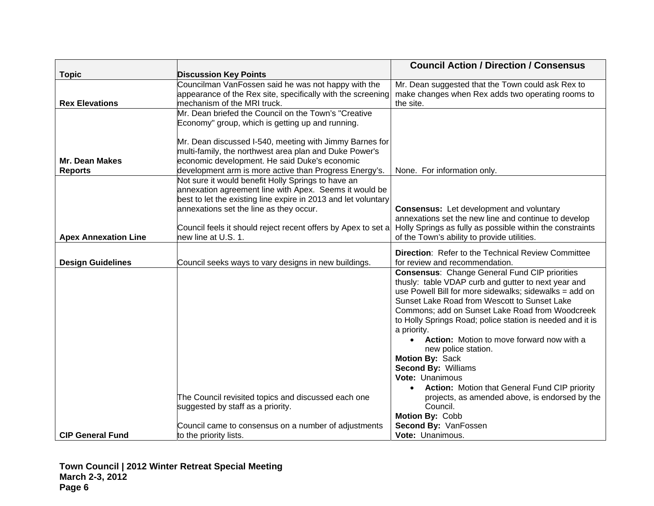|                             |                                                                                                              | <b>Council Action / Direction / Consensus</b>                                                               |
|-----------------------------|--------------------------------------------------------------------------------------------------------------|-------------------------------------------------------------------------------------------------------------|
| <b>Topic</b>                | <b>Discussion Key Points</b>                                                                                 |                                                                                                             |
|                             | Councilman VanFossen said he was not happy with the                                                          | Mr. Dean suggested that the Town could ask Rex to                                                           |
|                             | appearance of the Rex site, specifically with the screening                                                  | make changes when Rex adds two operating rooms to                                                           |
| <b>Rex Elevations</b>       | mechanism of the MRI truck.                                                                                  | the site.                                                                                                   |
|                             | Mr. Dean briefed the Council on the Town's "Creative                                                         |                                                                                                             |
|                             | Economy" group, which is getting up and running.                                                             |                                                                                                             |
|                             |                                                                                                              |                                                                                                             |
|                             | Mr. Dean discussed I-540, meeting with Jimmy Barnes for                                                      |                                                                                                             |
|                             | multi-family, the northwest area plan and Duke Power's                                                       |                                                                                                             |
| <b>Mr. Dean Makes</b>       | economic development. He said Duke's economic                                                                |                                                                                                             |
| <b>Reports</b>              | development arm is more active than Progress Energy's.<br>Not sure it would benefit Holly Springs to have an | None. For information only.                                                                                 |
|                             | annexation agreement line with Apex. Seems it would be                                                       |                                                                                                             |
|                             | best to let the existing line expire in 2013 and let voluntary                                               |                                                                                                             |
|                             | annexations set the line as they occur.                                                                      | <b>Consensus:</b> Let development and voluntary                                                             |
|                             |                                                                                                              | annexations set the new line and continue to develop                                                        |
|                             | Council feels it should reject recent offers by Apex to set a                                                | Holly Springs as fully as possible within the constraints                                                   |
| <b>Apex Annexation Line</b> | new line at U.S. 1.                                                                                          | of the Town's ability to provide utilities.                                                                 |
|                             |                                                                                                              |                                                                                                             |
|                             |                                                                                                              | <b>Direction: Refer to the Technical Review Committee</b>                                                   |
| <b>Design Guidelines</b>    | Council seeks ways to vary designs in new buildings.                                                         | for review and recommendation.                                                                              |
|                             |                                                                                                              | <b>Consensus: Change General Fund CIP priorities</b><br>thusly: table VDAP curb and gutter to next year and |
|                             |                                                                                                              | use Powell Bill for more sidewalks; sidewalks = add on                                                      |
|                             |                                                                                                              | Sunset Lake Road from Wescott to Sunset Lake                                                                |
|                             |                                                                                                              | Commons; add on Sunset Lake Road from Woodcreek                                                             |
|                             |                                                                                                              | to Holly Springs Road; police station is needed and it is                                                   |
|                             |                                                                                                              | a priority.                                                                                                 |
|                             |                                                                                                              | <b>Action:</b> Motion to move forward now with a                                                            |
|                             |                                                                                                              | new police station.                                                                                         |
|                             |                                                                                                              | Motion By: Sack                                                                                             |
|                             |                                                                                                              | <b>Second By: Williams</b>                                                                                  |
|                             |                                                                                                              | Vote: Unanimous                                                                                             |
|                             |                                                                                                              | <b>Action:</b> Motion that General Fund CIP priority<br>$\bullet$                                           |
|                             | The Council revisited topics and discussed each one                                                          | projects, as amended above, is endorsed by the                                                              |
|                             | suggested by staff as a priority.                                                                            | Council.                                                                                                    |
|                             |                                                                                                              | Motion By: Cobb                                                                                             |
|                             | Council came to consensus on a number of adjustments                                                         | Second By: VanFossen                                                                                        |
| <b>CIP General Fund</b>     | to the priority lists.                                                                                       | Vote: Unanimous.                                                                                            |